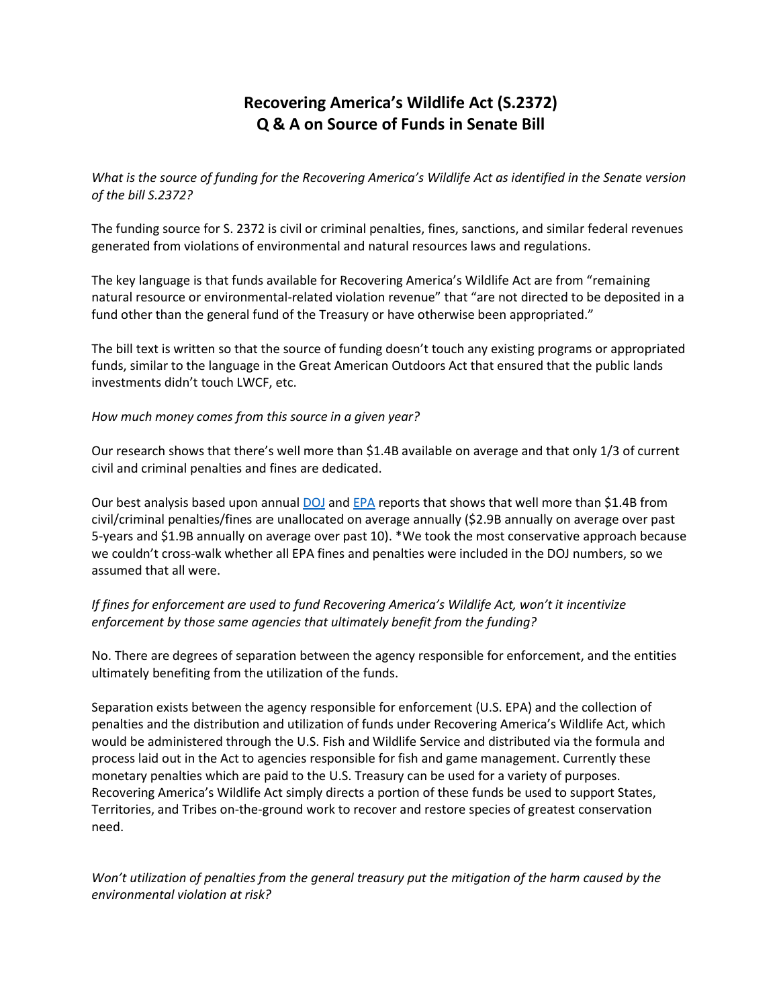# **Recovering America's Wildlife Act (S.2372) Q & A on Source of Funds in Senate Bill**

*What is the source of funding for the Recovering America's Wildlife Act as identified in the Senate version of the bill S.2372?*

The funding source for S. 2372 is civil or criminal penalties, fines, sanctions, and similar federal revenues generated from violations of environmental and natural resources laws and regulations.

The key language is that funds available for Recovering America's Wildlife Act are from "remaining natural resource or environmental-related violation revenue" that "are not directed to be deposited in a fund other than the general fund of the Treasury or have otherwise been appropriated."

The bill text is written so that the source of funding doesn't touch any existing programs or appropriated funds, similar to the language in the Great American Outdoors Act that ensured that the public lands investments didn't touch LWCF, etc.

#### *How much money comes from this source in a given year?*

Our research shows that there's well more than \$1.4B available on average and that only 1/3 of current civil and criminal penalties and fines are dedicated.

Our best analysis based upon annual [DOJ](https://protect-us.mimecast.com/s/rTJACzpz6RIR13NH4oYgK?domain=justice.gov) an[d EPA](https://protect-us.mimecast.com/s/c41rCADl6wI9QgJT83FVn?domain=archive.epa.gov) reports that shows that well more than \$1.4B from civil/criminal penalties/fines are unallocated on average annually (\$2.9B annually on average over past 5-years and \$1.9B annually on average over past 10). \*We took the most conservative approach because we couldn't cross-walk whether all EPA fines and penalties were included in the DOJ numbers, so we assumed that all were.

#### *If fines for enforcement are used to fund Recovering America's Wildlife Act, won't it incentivize enforcement by those same agencies that ultimately benefit from the funding?*

No. There are degrees of separation between the agency responsible for enforcement, and the entities ultimately benefiting from the utilization of the funds.

Separation exists between the agency responsible for enforcement (U.S. EPA) and the collection of penalties and the distribution and utilization of funds under Recovering America's Wildlife Act, which would be administered through the U.S. Fish and Wildlife Service and distributed via the formula and process laid out in the Act to agencies responsible for fish and game management. Currently these monetary penalties which are paid to the U.S. Treasury can be used for a variety of purposes. Recovering America's Wildlife Act simply directs a portion of these funds be used to support States, Territories, and Tribes on-the-ground work to recover and restore species of greatest conservation need.

*Won't utilization of penalties from the general treasury put the mitigation of the harm caused by the environmental violation at risk?*